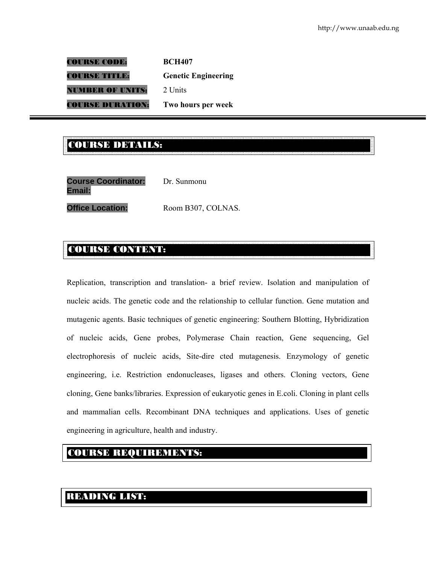COURSE CODE: **BCH407**  COURSE TITLE: **Genetic Engineering UMBER OF UNITS:** 2 Units COURSE DURATION: **Two hours per week** 

#### E<br>Course des la compagne de la course de la compagne de la course de la course de la concelhe de la compagne de<br>Course de la course de la course de la course de la course de la course de la course de la course de la cours COURSE DETAILS:

| <b>Course Coordinator:</b><br>Email: | Dr. Sunmonu        |
|--------------------------------------|--------------------|
| <b>Office Location:</b>              | Room B307, COLNAS. |

#### COURSE CONTENT:

Replication, transcription and translation- a brief review. Isolation and manipulation of nucleic acids. The genetic code and the relationship to cellular function. Gene mutation and mutagenic agents. Basic techniques of genetic engineering: Southern Blotting, Hybridization of nucleic acids, Gene probes, Polymerase Chain reaction, Gene sequencing, Gel electrophoresis of nucleic acids, Site-dire cted mutagenesis. Enzymology of genetic engineering, i.e. Restriction endonucleases, ligases and others. Cloning vectors, Gene cloning, Gene banks/libraries. Expression of eukaryotic genes in E.coli. Cloning in plant cells and mammalian cells. Recombinant DNA techniques and applications. Uses of genetic engineering in agriculture, health and industry.

#### COURSE REQUIREMENTS:

#### READING LIST: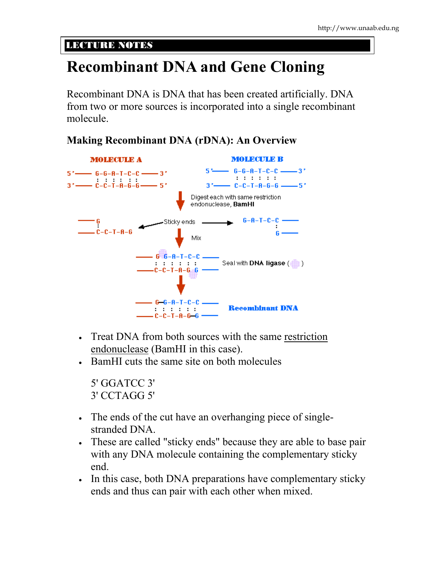#### LECTURE NOTES

# **Recombinant DNA and Gene Cloning**

Recombinant DNA is DNA that has been created artificially. DNA from two or more sources is incorporated into a single recombinant molecule.



#### **Making Recombinant DNA (rDNA): An Overview**

- Treat DNA from both sources with the same restriction endonuclease (BamHI in this case).
- BamHI cuts the same site on both molecules

5' GGATCC 3' 3' CCTAGG 5'

- The ends of the cut have an overhanging piece of singlestranded DNA.
- These are called "sticky ends" because they are able to base pair with any DNA molecule containing the complementary sticky end.
- In this case, both DNA preparations have complementary sticky ends and thus can pair with each other when mixed.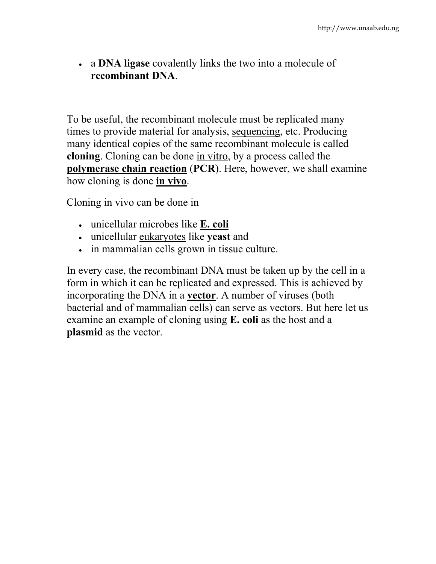• a **DNA ligase** covalently links the two into a molecule of **recombinant DNA**.

To be useful, the recombinant molecule must be replicated many times to provide material for analysis, sequencing, etc. Producing many identical copies of the same recombinant molecule is called **cloning**. Cloning can be done in vitro, by a process called the **polymerase chain reaction** (**PCR**). Here, however, we shall examine how cloning is done **in vivo**.

Cloning in vivo can be done in

- unicellular microbes like **E. coli**
- unicellular eukaryotes like **yeast** and
- in mammalian cells grown in tissue culture.

In every case, the recombinant DNA must be taken up by the cell in a form in which it can be replicated and expressed. This is achieved by incorporating the DNA in a **vector**. A number of viruses (both bacterial and of mammalian cells) can serve as vectors. But here let us examine an example of cloning using **E. coli** as the host and a **plasmid** as the vector.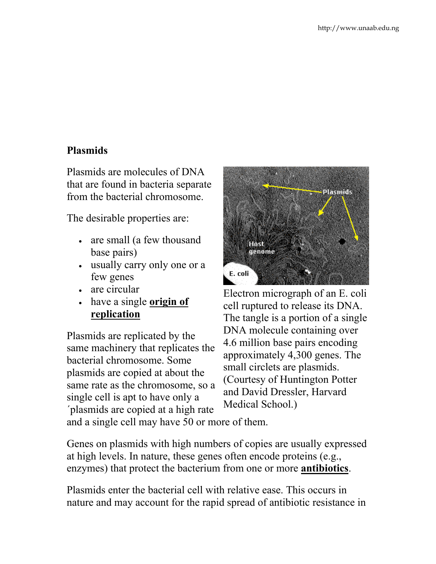#### **Plasmids**

Plasmids are molecules of DNA that are found in bacteria separate from the bacterial chromosome.

The desirable properties are:

- are small (a few thousand base pairs)
- usually carry only one or a few genes
- are circular
- have a single **origin of replication**

Plasmids are replicated by the same machinery that replicates the bacterial chromosome. Some plasmids are copied at about the same rate as the chromosome, so a single cell is apt to have only a ´plasmids are copied at a high rate and a single cell may have 50 or more of them.



Electron micrograph of an E. coli cell ruptured to release its DNA. The tangle is a portion of a single DNA molecule containing over 4.6 million base pairs encoding approximately 4,300 genes. The small circlets are plasmids. (Courtesy of Huntington Potter and David Dressler, Harvard Medical School.)

Genes on plasmids with high numbers of copies are usually expressed at high levels. In nature, these genes often encode proteins (e.g., enzymes) that protect the bacterium from one or more **antibiotics**.

Plasmids enter the bacterial cell with relative ease. This occurs in nature and may account for the rapid spread of antibiotic resistance in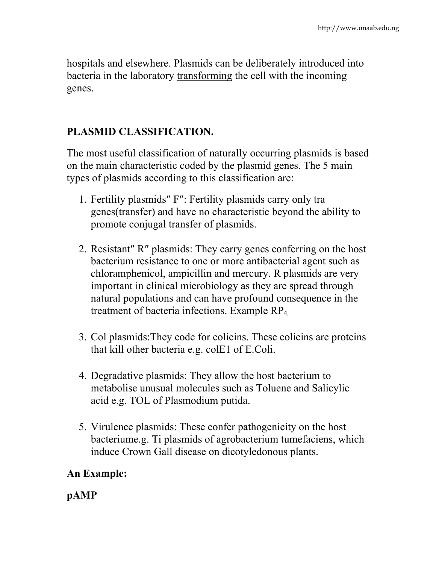hospitals and elsewhere. Plasmids can be deliberately introduced into bacteria in the laboratory transforming the cell with the incoming genes.

#### **PLASMID CLASSIFICATION.**

The most useful classification of naturally occurring plasmids is based on the main characteristic coded by the plasmid genes. The 5 main types of plasmids according to this classification are:

- 1. Fertility plasmids″ F″: Fertility plasmids carry only tra genes(transfer) and have no characteristic beyond the ability to promote conjugal transfer of plasmids.
- 2. Resistant″ R″ plasmids: They carry genes conferring on the host bacterium resistance to one or more antibacterial agent such as chloramphenicol, ampicillin and mercury. R plasmids are very important in clinical microbiology as they are spread through natural populations and can have profound consequence in the treatment of bacteria infections. Example RP4.
- 3. Col plasmids:They code for colicins. These colicins are proteins that kill other bacteria e.g. colE1 of E.Coli.
- 4. Degradative plasmids: They allow the host bacterium to metabolise unusual molecules such as Toluene and Salicylic acid e.g. TOL of Plasmodium putida.
- 5. Virulence plasmids: These confer pathogenicity on the host bacteriume.g. Ti plasmids of agrobacterium tumefaciens, which induce Crown Gall disease on dicotyledonous plants.

## **An Example:**

**pAMP**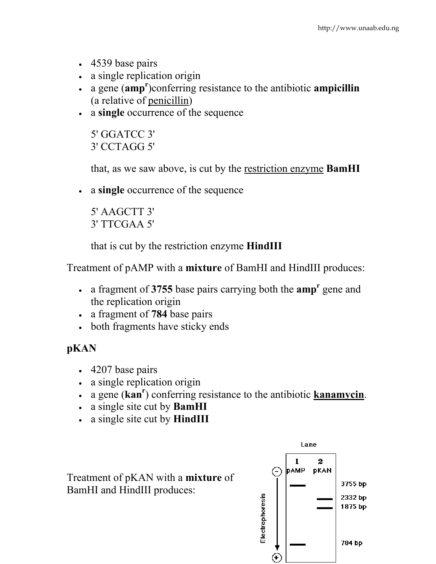- 4539 base pairs
- a single replication origin
- a gene (**amp<sup>r</sup>** )conferring resistance to the antibiotic **ampicillin** (a relative of penicillin)
- a **single** occurrence of the sequence

5' GGATCC 3' 3' CCTAGG 5'

that, as we saw above, is cut by the restriction enzyme **BamHI**

• a **single** occurrence of the sequence

5' AAGCTT 3' 3' TTCGAA 5'

that is cut by the restriction enzyme **HindIII**

Treatment of pAMP with a **mixture** of BamHI and HindIII produces:

- a fragment of **3755** base pairs carrying both the **amp<sup>r</sup>** gene and the replication origin
- a fragment of **784** base pairs
- both fragments have sticky ends

## **pKAN**

- 4207 base pairs
- a single replication origin
- a gene (**kanr** ) conferring resistance to the antibiotic **kanamycin**.
- a single site cut by **BamHI**
- a single site cut by **HindIII**

Treatment of pKAN with a **mixture** of BamHI and HindIII produces:

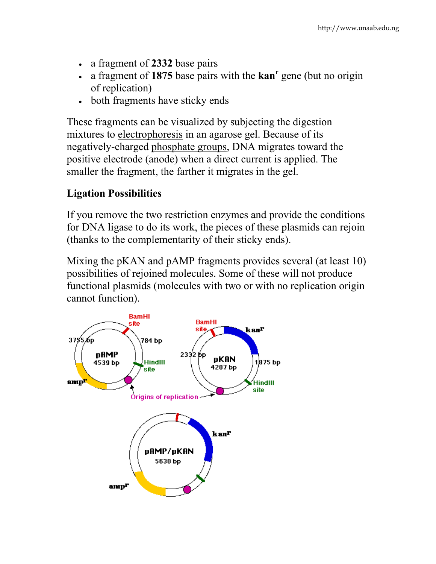- a fragment of **2332** base pairs
- a fragment of 1875 base pairs with the **kan<sup>r</sup>** gene (but no origin of replication)
- both fragments have sticky ends

These fragments can be visualized by subjecting the digestion mixtures to electrophoresis in an agarose gel. Because of its negatively-charged phosphate groups, DNA migrates toward the positive electrode (anode) when a direct current is applied. The smaller the fragment, the farther it migrates in the gel.

#### **Ligation Possibilities**

If you remove the two restriction enzymes and provide the conditions for DNA ligase to do its work, the pieces of these plasmids can rejoin (thanks to the complementarity of their sticky ends).

Mixing the pKAN and pAMP fragments provides several (at least 10) possibilities of rejoined molecules. Some of these will not produce functional plasmids (molecules with two or with no replication origin cannot function).

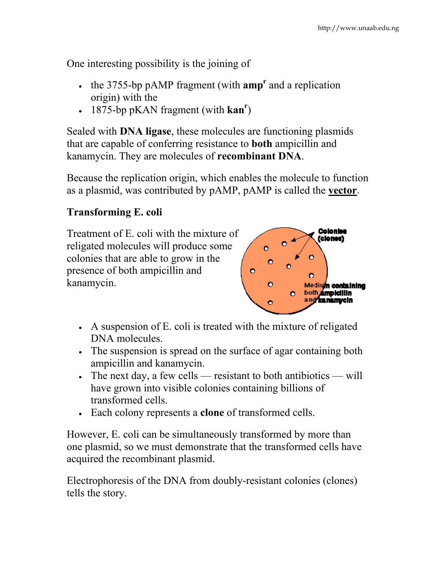One interesting possibility is the joining of

- $\cdot$  the 3755-bp pAMP fragment (with  $amp^r$  and a replication origin) with the
- 1875-bp pKAN fragment (with **kan<sup>r</sup>)**

Sealed with **DNA ligase**, these molecules are functioning plasmids that are capable of conferring resistance to **both** ampicillin and kanamycin. They are molecules of **recombinant DNA**.

Because the replication origin, which enables the molecule to function as a plasmid, was contributed by pAMP, pAMP is called the **vector**.

#### **Transforming E. coli**

Treatment of E. coli with the mixture of religated molecules will produce some colonies that are able to grow in the presence of both ampicillin and kanamycin.



- A suspension of E. coli is treated with the mixture of religated DNA molecules.
- The suspension is spread on the surface of agar containing both ampicillin and kanamycin.
- The next day, a few cells resistant to both antibiotics will have grown into visible colonies containing billions of transformed cells.
- Each colony represents a **clone** of transformed cells.

However, E. coli can be simultaneously transformed by more than one plasmid, so we must demonstrate that the transformed cells have acquired the recombinant plasmid.

Electrophoresis of the DNA from doubly-resistant colonies (clones) tells the story.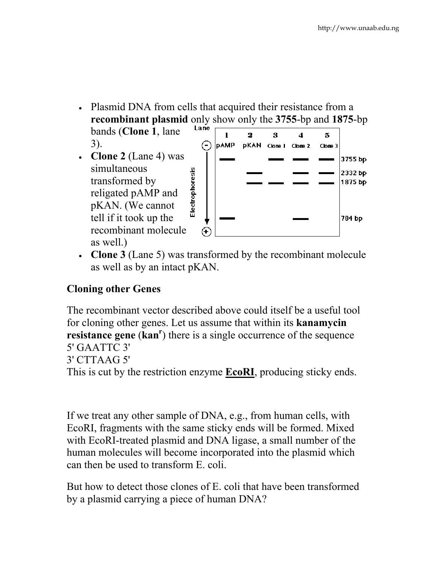• Plasmid DNA from cells that acquired their resistance from a **recombinant plasmid** only show only the 3755-bp and 1875-bp<br>hands (Clone 1, language  $\frac{\text{Large}}{\text{Time}}$ 

bands (**Clone 1**, lane 3).

• **Clone 2** (Lane 4) was simultaneous transformed by religated pAMP and pKAN. (We cannot tell if it took up the recombinant molecule as well.)



• **Clone 3** (Lane 5) was transformed by the recombinant molecule as well as by an intact pKAN.

## **Cloning other Genes**

The recombinant vector described above could itself be a useful tool for cloning other genes. Let us assume that within its **kanamycin resistance** gene (kan<sup>r</sup>) there is a single occurrence of the sequence 5' GAATTC 3' 3' CTTAAG 5' This is cut by the restriction enzyme **EcoRI**, producing sticky ends.

If we treat any other sample of DNA, e.g., from human cells, with EcoRI, fragments with the same sticky ends will be formed. Mixed with EcoRI-treated plasmid and DNA ligase, a small number of the human molecules will become incorporated into the plasmid which can then be used to transform E. coli.

But how to detect those clones of E. coli that have been transformed by a plasmid carrying a piece of human DNA?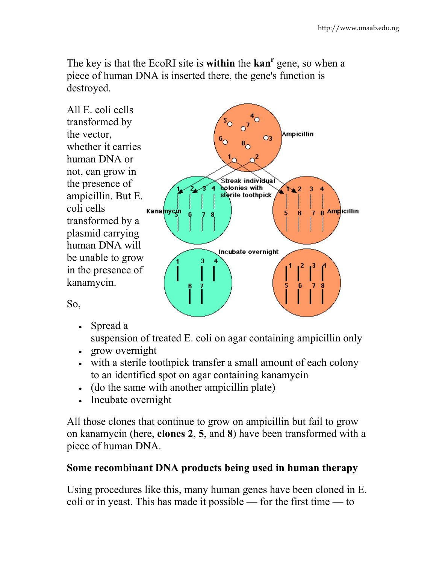The key is that the EcoRI site is **within** the **kan<sup>r</sup>** gene, so when a piece of human DNA is inserted there, the gene's function is destroyed.



So,

• Spread a

suspension of treated E. coli on agar containing ampicillin only

- grow overnight
- with a sterile toothpick transfer a small amount of each colony to an identified spot on agar containing kanamycin
- (do the same with another ampicillin plate)
- Incubate overnight

All those clones that continue to grow on ampicillin but fail to grow on kanamycin (here, **clones 2**, **5**, and **8**) have been transformed with a piece of human DNA.

#### **Some recombinant DNA products being used in human therapy**

Using procedures like this, many human genes have been cloned in E. coli or in yeast. This has made it possible — for the first time — to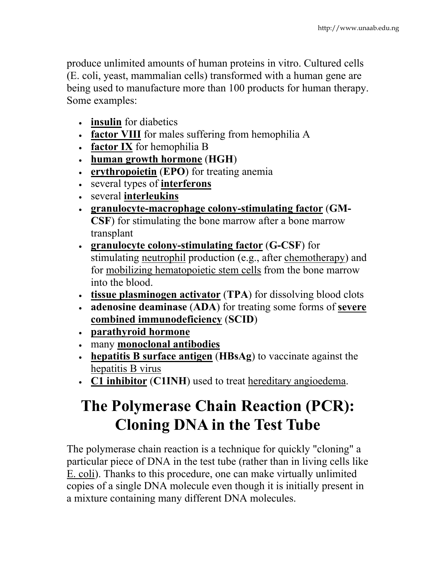produce unlimited amounts of human proteins in vitro. Cultured cells (E. coli, yeast, mammalian cells) transformed with a human gene are being used to manufacture more than 100 products for human therapy. Some examples:

- **insulin** for diabetics
- **factor VIII** for males suffering from hemophilia A
- **factor IX** for hemophilia B
- **human growth hormone** (**HGH**)
- **erythropoietin** (**EPO**) for treating anemia
- several types of **interferons**
- several **interleukins**
- **granulocyte-macrophage colony-stimulating factor** (**GM-CSF**) for stimulating the bone marrow after a bone marrow transplant
- **granulocyte colony-stimulating factor** (**G-CSF**) for stimulating neutrophil production (e.g., after chemotherapy) and for mobilizing hematopoietic stem cells from the bone marrow into the blood.
- **tissue plasminogen activator** (**TPA**) for dissolving blood clots
- **adenosine deaminase** (**ADA**) for treating some forms of **severe combined immunodeficiency** (**SCID**)
- **parathyroid hormone**
- many **monoclonal antibodies**
- **hepatitis B surface antigen** (**HBsAg**) to vaccinate against the hepatitis B virus
- **C1 inhibitor** (**C1INH**) used to treat hereditary angioedema.

# **The Polymerase Chain Reaction (PCR): Cloning DNA in the Test Tube**

The polymerase chain reaction is a technique for quickly "cloning" a particular piece of DNA in the test tube (rather than in living cells like E. coli). Thanks to this procedure, one can make virtually unlimited copies of a single DNA molecule even though it is initially present in a mixture containing many different DNA molecules.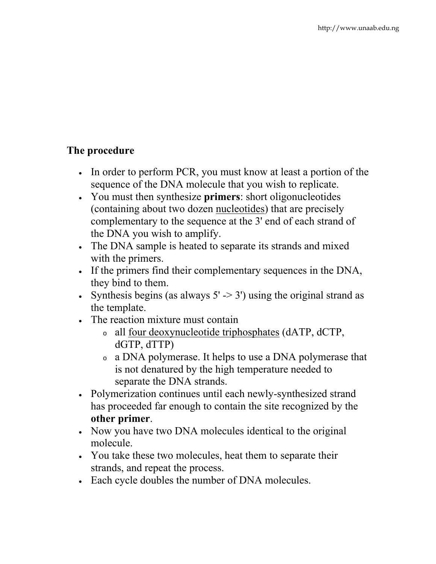## **The procedure**

- In order to perform PCR, you must know at least a portion of the sequence of the DNA molecule that you wish to replicate.
- You must then synthesize **primers**: short oligonucleotides (containing about two dozen nucleotides) that are precisely complementary to the sequence at the 3' end of each strand of the DNA you wish to amplify.
- The DNA sample is heated to separate its strands and mixed with the primers.
- If the primers find their complementary sequences in the DNA, they bind to them.
- Synthesis begins (as always  $5'$  -> 3') using the original strand as the template.
- The reaction mixture must contain
	- <sup>o</sup> all four deoxynucleotide triphosphates (dATP, dCTP, dGTP, dTTP)
	- <sup>o</sup> a DNA polymerase. It helps to use a DNA polymerase that is not denatured by the high temperature needed to separate the DNA strands.
- Polymerization continues until each newly-synthesized strand has proceeded far enough to contain the site recognized by the **other primer**.
- Now you have two DNA molecules identical to the original molecule.
- You take these two molecules, heat them to separate their strands, and repeat the process.
- Each cycle doubles the number of DNA molecules.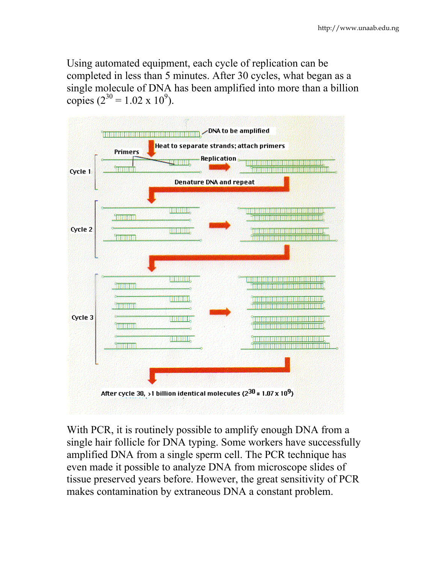Using automated equipment, each cycle of replication can be completed in less than 5 minutes. After 30 cycles, what began as a single molecule of DNA has been amplified into more than a billion copies ( $2^{30} = 1.02 \times 10^9$ ).



With PCR, it is routinely possible to amplify enough DNA from a single hair follicle for DNA typing. Some workers have successfully amplified DNA from a single sperm cell. The PCR technique has even made it possible to analyze DNA from microscope slides of tissue preserved years before. However, the great sensitivity of PCR makes contamination by extraneous DNA a constant problem.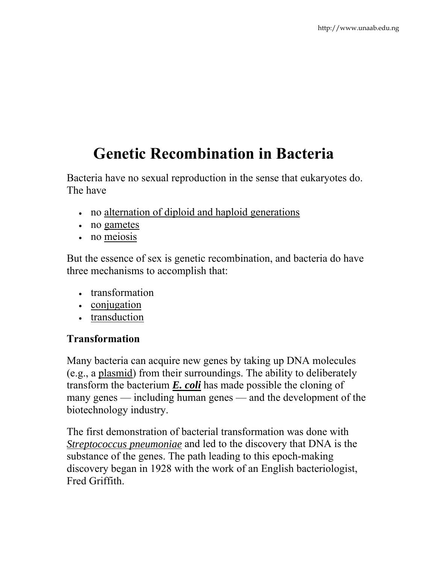# **Genetic Recombination in Bacteria**

Bacteria have no sexual reproduction in the sense that eukaryotes do. The have

- no alternation of diploid and haploid generations
- no gametes
- no meiosis

But the essence of sex is genetic recombination, and bacteria do have three mechanisms to accomplish that:

- transformation
- conjugation
- transduction

#### **Transformation**

Many bacteria can acquire new genes by taking up DNA molecules (e.g., a plasmid) from their surroundings. The ability to deliberately transform the bacterium *E. coli* has made possible the cloning of many genes — including human genes — and the development of the biotechnology industry.

The first demonstration of bacterial transformation was done with *Streptococcus pneumoniae* and led to the discovery that DNA is the substance of the genes. The path leading to this epoch-making discovery began in 1928 with the work of an English bacteriologist, Fred Griffith.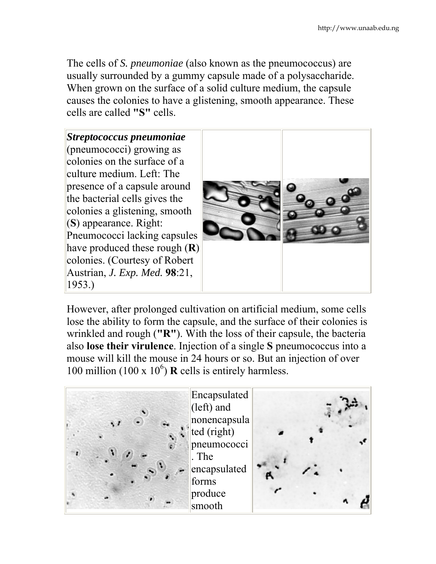The cells of *S. pneumoniae* (also known as the pneumococcus) are usually surrounded by a gummy capsule made of a polysaccharide. When grown on the surface of a solid culture medium, the capsule causes the colonies to have a glistening, smooth appearance. These cells are called **"S"** cells.



However, after prolonged cultivation on artificial medium, some cells lose the ability to form the capsule, and the surface of their colonies is wrinkled and rough (**"R"**). With the loss of their capsule, the bacteria also **lose their virulence**. Injection of a single **S** pneumococcus into a mouse will kill the mouse in 24 hours or so. But an injection of over 100 million (100 x  $10^6$ ) **R** cells is entirely harmless.

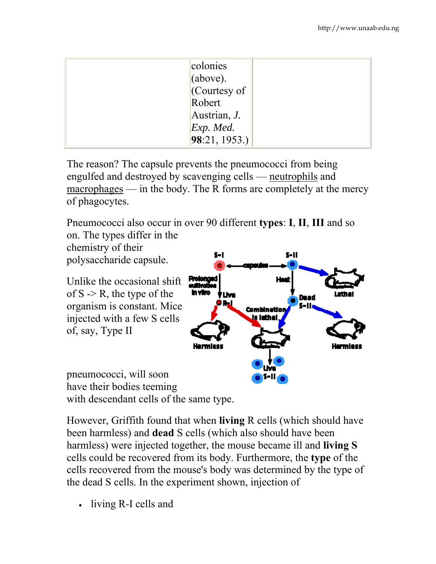| colonies<br>[above].<br>$\sqrt{\frac{1}{2}}$ Courtesy of<br>Robert<br>Austrian, J. |
|------------------------------------------------------------------------------------|
| Exp. Med.<br>98:21, 1953.                                                          |

The reason? The capsule prevents the pneumococci from being engulfed and destroyed by scavenging cells — neutrophils and macrophages — in the body. The R forms are completely at the mercy of phagocytes.

Pneumococci also occur in over 90 different **types**: **I**, **II**, **III** and so on. The types differ in the



have their bodies teeming with descendant cells of the same type.

However, Griffith found that when **living** R cells (which should have been harmless) and **dead** S cells (which also should have been harmless) were injected together, the mouse became ill and **living S** cells could be recovered from its body. Furthermore, the **type** of the cells recovered from the mouse's body was determined by the type of the dead S cells. In the experiment shown, injection of

• living R-I cells and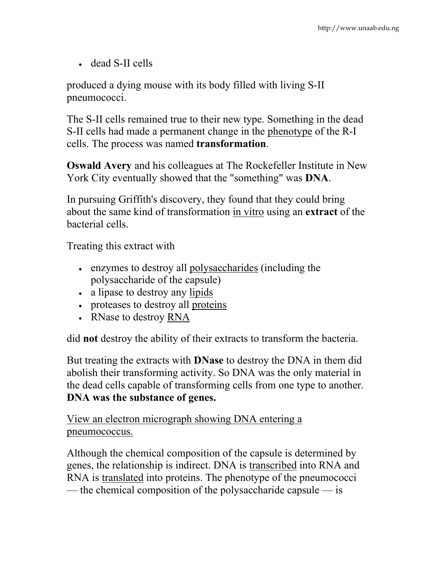• dead S-II cells

produced a dying mouse with its body filled with living S-II pneumococci.

The S-II cells remained true to their new type. Something in the dead S-II cells had made a permanent change in the phenotype of the R-I cells. The process was named **transformation**.

**Oswald Avery** and his colleagues at The Rockefeller Institute in New York City eventually showed that the "something" was **DNA**.

In pursuing Griffith's discovery, they found that they could bring about the same kind of transformation in vitro using an **extract** of the bacterial cells.

Treating this extract with

- enzymes to destroy all polysaccharides (including the polysaccharide of the capsule)
- a lipase to destroy any lipids
- proteases to destroy all proteins
- RNase to destroy RNA

did **not** destroy the ability of their extracts to transform the bacteria.

But treating the extracts with **DNase** to destroy the DNA in them did abolish their transforming activity. So DNA was the only material in the dead cells capable of transforming cells from one type to another. **DNA was the substance of genes.**

View an electron micrograph showing DNA entering a pneumococcus.

Although the chemical composition of the capsule is determined by genes, the relationship is indirect. DNA is transcribed into RNA and RNA is translated into proteins. The phenotype of the pneumococci — the chemical composition of the polysaccharide capsule — is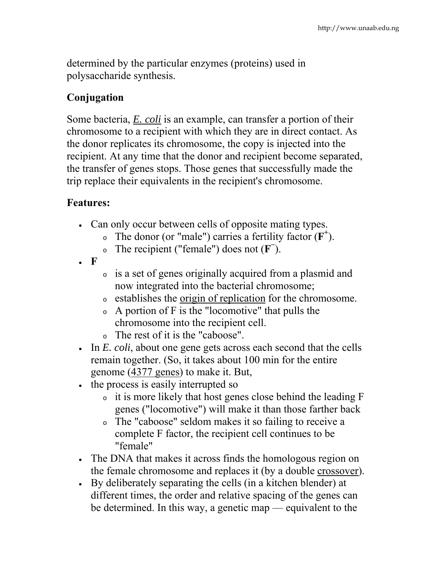determined by the particular enzymes (proteins) used in polysaccharide synthesis.

#### **Conjugation**

Some bacteria, *E. coli* is an example, can transfer a portion of their chromosome to a recipient with which they are in direct contact. As the donor replicates its chromosome, the copy is injected into the recipient. At any time that the donor and recipient become separated, the transfer of genes stops. Those genes that successfully made the trip replace their equivalents in the recipient's chromosome.

#### **Features:**

- Can only occur between cells of opposite mating types.
	- $\circ$  The donor (or "male") carries a fertility factor ( $\mathbf{F}^+$ ).
	- <sup>o</sup> The recipient ("female") does not (**F<sup>−</sup>** ).
- **F**
- <sup>o</sup> is a set of genes originally acquired from a plasmid and now integrated into the bacterial chromosome;
- <sup>o</sup> establishes the origin of replication for the chromosome.
- <sup>o</sup> A portion of F is the "locomotive" that pulls the chromosome into the recipient cell.
- <sup>o</sup> The rest of it is the "caboose".
- In *E. coli*, about one gene gets across each second that the cells remain together. (So, it takes about 100 min for the entire genome (4377 genes) to make it. But,
- the process is easily interrupted so
	- <sup>o</sup> it is more likely that host genes close behind the leading F genes ("locomotive") will make it than those farther back
	- <sup>o</sup> The "caboose" seldom makes it so failing to receive a complete F factor, the recipient cell continues to be "female"
- The DNA that makes it across finds the homologous region on the female chromosome and replaces it (by a double crossover).
- By deliberately separating the cells (in a kitchen blender) at different times, the order and relative spacing of the genes can be determined. In this way, a genetic map — equivalent to the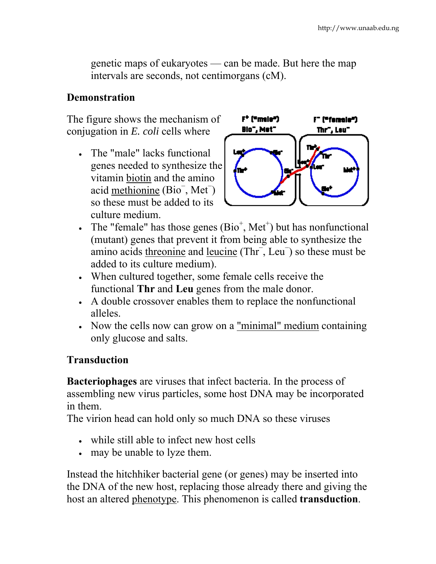genetic maps of eukaryotes — can be made. But here the map intervals are seconds, not centimorgans (cM).

#### **Demonstration**

The figure shows the mechanism of conjugation in *E. coli* cells where

• The "male" lacks functional genes needed to synthesize the vitamin biotin and the amino acid methionine (Bio<sup>−</sup> , Met<sup>−</sup> ) so these must be added to its culture medium.



- The "female" has those genes  $(Bio^+, Met^+)$  but has nonfunctional (mutant) genes that prevent it from being able to synthesize the amino acids threonine and leucine (Thr<sup>−</sup> , Leu<sup>−</sup> ) so these must be added to its culture medium).
- When cultured together, some female cells receive the functional **Thr** and **Leu** genes from the male donor.
- A double crossover enables them to replace the nonfunctional alleles.
- Now the cells now can grow on a "minimal" medium containing only glucose and salts.

#### **Transduction**

**Bacteriophages** are viruses that infect bacteria. In the process of assembling new virus particles, some host DNA may be incorporated in them.

The virion head can hold only so much DNA so these viruses

- while still able to infect new host cells
- may be unable to lyze them.

Instead the hitchhiker bacterial gene (or genes) may be inserted into the DNA of the new host, replacing those already there and giving the host an altered phenotype. This phenomenon is called **transduction**.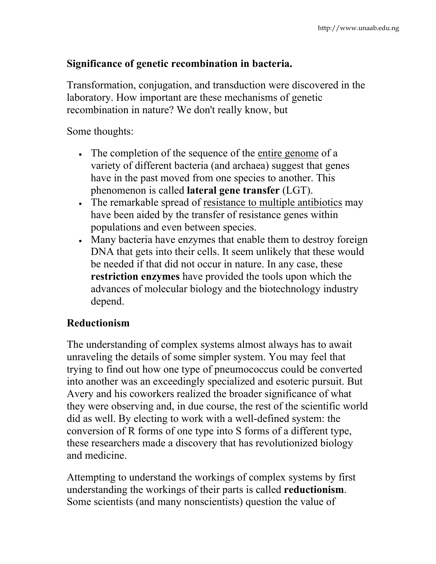#### **Significance of genetic recombination in bacteria.**

Transformation, conjugation, and transduction were discovered in the laboratory. How important are these mechanisms of genetic recombination in nature? We don't really know, but

Some thoughts:

- The completion of the sequence of the entire genome of a variety of different bacteria (and archaea) suggest that genes have in the past moved from one species to another. This phenomenon is called **lateral gene transfer** (LGT).
- The remarkable spread of resistance to multiple antibiotics may have been aided by the transfer of resistance genes within populations and even between species.
- Many bacteria have enzymes that enable them to destroy foreign DNA that gets into their cells. It seem unlikely that these would be needed if that did not occur in nature. In any case, these **restriction enzymes** have provided the tools upon which the advances of molecular biology and the biotechnology industry depend.

#### **Reductionism**

The understanding of complex systems almost always has to await unraveling the details of some simpler system. You may feel that trying to find out how one type of pneumococcus could be converted into another was an exceedingly specialized and esoteric pursuit. But Avery and his coworkers realized the broader significance of what they were observing and, in due course, the rest of the scientific world did as well. By electing to work with a well-defined system: the conversion of R forms of one type into S forms of a different type, these researchers made a discovery that has revolutionized biology and medicine.

Attempting to understand the workings of complex systems by first understanding the workings of their parts is called **reductionism**. Some scientists (and many nonscientists) question the value of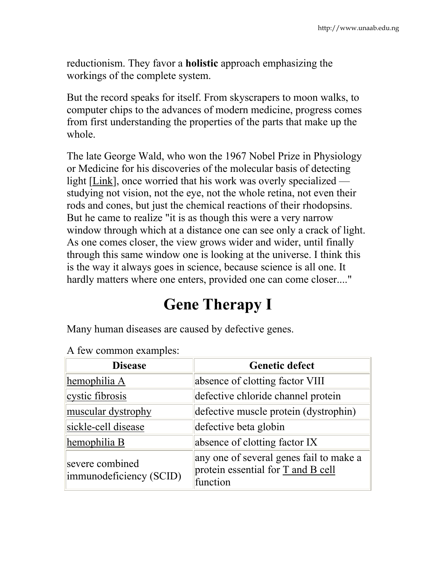reductionism. They favor a **holistic** approach emphasizing the workings of the complete system.

But the record speaks for itself. From skyscrapers to moon walks, to computer chips to the advances of modern medicine, progress comes from first understanding the properties of the parts that make up the whole.

The late George Wald, who won the 1967 Nobel Prize in Physiology or Medicine for his discoveries of the molecular basis of detecting light [Link], once worried that his work was overly specialized studying not vision, not the eye, not the whole retina, not even their rods and cones, but just the chemical reactions of their rhodopsins. But he came to realize "it is as though this were a very narrow window through which at a distance one can see only a crack of light. As one comes closer, the view grows wider and wider, until finally through this same window one is looking at the universe. I think this is the way it always goes in science, because science is all one. It hardly matters where one enters, provided one can come closer...."

# **Gene Therapy I**

Many human diseases are caused by defective genes.

| <b>Disease</b>                             | <b>Genetic defect</b>                                                                     |  |  |
|--------------------------------------------|-------------------------------------------------------------------------------------------|--|--|
| hemophilia A                               | absence of clotting factor VIII                                                           |  |  |
| cystic fibrosis                            | defective chloride channel protein                                                        |  |  |
| muscular dystrophy                         | defective muscle protein (dystrophin)                                                     |  |  |
| sickle-cell disease                        | defective beta globin                                                                     |  |  |
| hemophilia B                               | absence of clotting factor IX                                                             |  |  |
| severe combined<br>immunodeficiency (SCID) | any one of several genes fail to make a<br>protein essential for T and B cell<br>function |  |  |

|  | A few common examples: |  |
|--|------------------------|--|
|  |                        |  |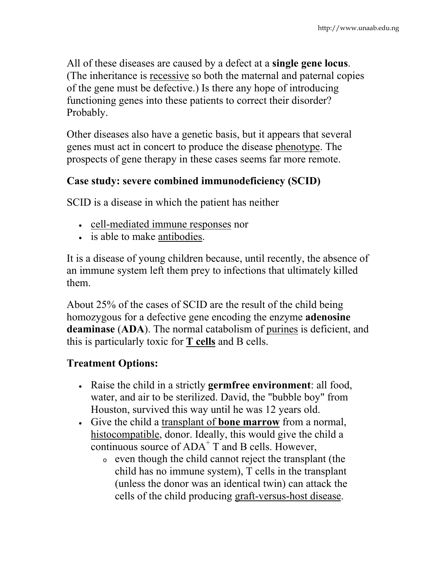All of these diseases are caused by a defect at a **single gene locus**. (The inheritance is recessive so both the maternal and paternal copies of the gene must be defective.) Is there any hope of introducing functioning genes into these patients to correct their disorder? Probably.

Other diseases also have a genetic basis, but it appears that several genes must act in concert to produce the disease phenotype. The prospects of gene therapy in these cases seems far more remote.

#### **Case study: severe combined immunodeficiency (SCID)**

SCID is a disease in which the patient has neither

- cell-mediated immune responses nor
- is able to make antibodies.

It is a disease of young children because, until recently, the absence of an immune system left them prey to infections that ultimately killed them.

About 25% of the cases of SCID are the result of the child being homozygous for a defective gene encoding the enzyme **adenosine deaminase** (**ADA**). The normal catabolism of purines is deficient, and this is particularly toxic for **T cells** and B cells.

## **Treatment Options:**

- Raise the child in a strictly **germfree environment**: all food, water, and air to be sterilized. David, the "bubble boy" from Houston, survived this way until he was 12 years old.
- Give the child a transplant of **bone marrow** from a normal, histocompatible, donor. Ideally, this would give the child a continuous source of ADA<sup>+</sup> T and B cells. However,
	- <sup>o</sup> even though the child cannot reject the transplant (the child has no immune system), T cells in the transplant (unless the donor was an identical twin) can attack the cells of the child producing graft-versus-host disease.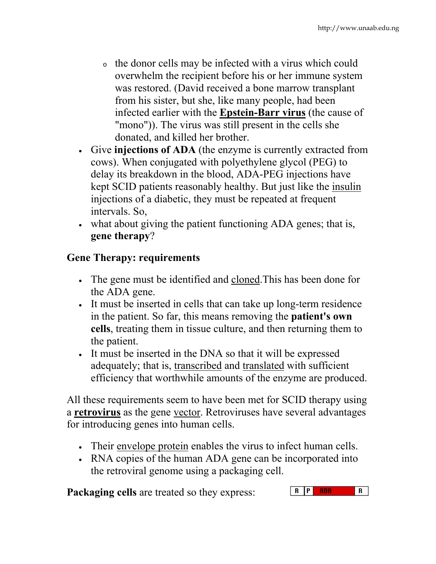- <sup>o</sup> the donor cells may be infected with a virus which could overwhelm the recipient before his or her immune system was restored. (David received a bone marrow transplant from his sister, but she, like many people, had been infected earlier with the **Epstein-Barr virus** (the cause of "mono")). The virus was still present in the cells she donated, and killed her brother.
- Give **injections of ADA** (the enzyme is currently extracted from cows). When conjugated with polyethylene glycol (PEG) to delay its breakdown in the blood, ADA-PEG injections have kept SCID patients reasonably healthy. But just like the insulin injections of a diabetic, they must be repeated at frequent intervals. So,
- what about giving the patient functioning ADA genes; that is, **gene therapy**?

## **Gene Therapy: requirements**

- The gene must be identified and cloned.This has been done for the ADA gene.
- It must be inserted in cells that can take up long-term residence in the patient. So far, this means removing the **patient's own cells**, treating them in tissue culture, and then returning them to the patient.
- It must be inserted in the DNA so that it will be expressed adequately; that is, transcribed and translated with sufficient efficiency that worthwhile amounts of the enzyme are produced.

All these requirements seem to have been met for SCID therapy using a **retrovirus** as the gene vector. Retroviruses have several advantages for introducing genes into human cells.

- Their envelope protein enables the virus to infect human cells.
- RNA copies of the human ADA gene can be incorporated into the retroviral genome using a packaging cell.

**Packaging cells** are treated so they express: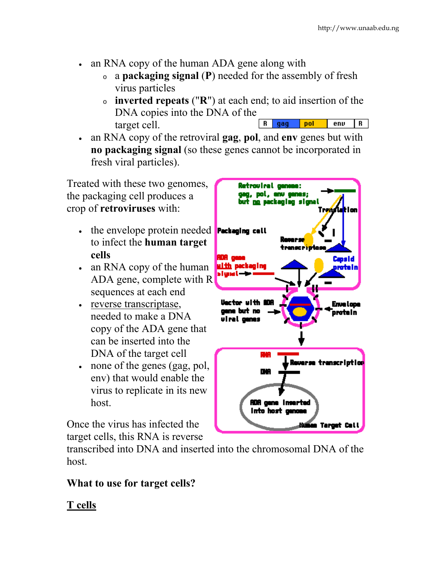- an RNA copy of the human ADA gene along with
	- <sup>o</sup> a **packaging signal** (**P**) needed for the assembly of fresh virus particles
	- <sup>o</sup> **inverted repeats** ("**R**") at each end; to aid insertion of the DNA copies into the DNA of the  $R$  gag nol  $env$  $\overline{R}$ target cell.
- an RNA copy of the retroviral **gag**, **pol**, and **env** genes but with **no packaging signal** (so these genes cannot be incorporated in fresh viral particles).

Treated with these two genomes, the packaging cell produces a crop of **retroviruses** with:

- $\bullet$  the envelope protein needed **Packeging call** to infect the **human target cells**
- an RNA copy of the human ADA gene, complete with R sequences at each end
- reverse transcriptase, needed to make a DNA copy of the ADA gene that can be inserted into the DNA of the target cell
- none of the genes (gag, pol, env) that would enable the virus to replicate in its new host.

Once the virus has infected the target cells, this RNA is reverse

transcribed into DNA and inserted into the chromosomal DNA of the host.

## **What to use for target cells?**

## **T cells**

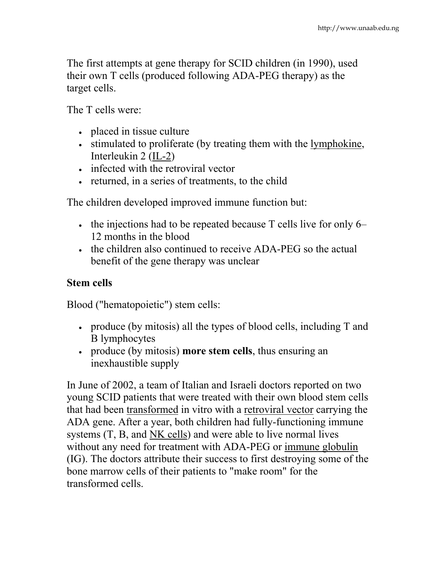The first attempts at gene therapy for SCID children (in 1990), used their own T cells (produced following ADA-PEG therapy) as the target cells.

The T cells were:

- placed in tissue culture
- stimulated to proliferate (by treating them with the <u>lymphokine</u>, Interleukin 2 (IL-2)
- infected with the retroviral vector
- returned, in a series of treatments, to the child

The children developed improved immune function but:

- the injections had to be repeated because T cells live for only 6– 12 months in the blood
- the children also continued to receive ADA-PEG so the actual benefit of the gene therapy was unclear

### **Stem cells**

Blood ("hematopoietic") stem cells:

- produce (by mitosis) all the types of blood cells, including T and B lymphocytes
- produce (by mitosis) **more stem cells**, thus ensuring an inexhaustible supply

In June of 2002, a team of Italian and Israeli doctors reported on two young SCID patients that were treated with their own blood stem cells that had been transformed in vitro with a retroviral vector carrying the ADA gene. After a year, both children had fully-functioning immune systems (T, B, and NK cells) and were able to live normal lives without any need for treatment with ADA-PEG or immune globulin (IG). The doctors attribute their success to first destroying some of the bone marrow cells of their patients to "make room" for the transformed cells.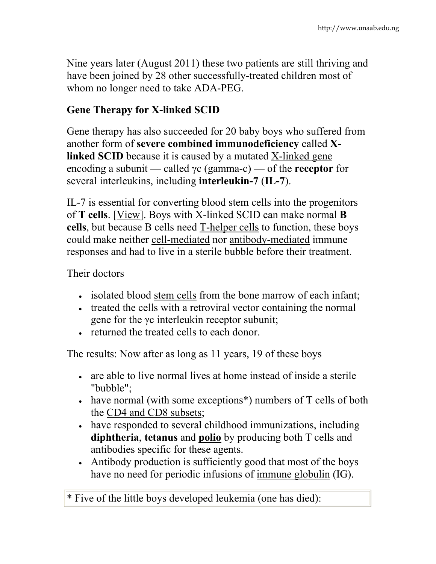Nine years later (August 2011) these two patients are still thriving and have been joined by 28 other successfully-treated children most of whom no longer need to take ADA-PEG.

#### **Gene Therapy for X-linked SCID**

Gene therapy has also succeeded for 20 baby boys who suffered from another form of **severe combined immunodeficiency** called **Xlinked SCID** because it is caused by a mutated X-linked gene encoding a subunit — called γc (gamma-c) — of the **receptor** for several interleukins, including **interleukin-7** (**IL-7**).

IL-7 is essential for converting blood stem cells into the progenitors of **T cells**. [View]. Boys with X-linked SCID can make normal **B cells**, but because B cells need T-helper cells to function, these boys could make neither cell-mediated nor antibody-mediated immune responses and had to live in a sterile bubble before their treatment.

#### Their doctors

- isolated blood stem cells from the bone marrow of each infant;
- treated the cells with a retroviral vector containing the normal gene for the γc interleukin receptor subunit;
- returned the treated cells to each donor.

The results: Now after as long as 11 years, 19 of these boys

- are able to live normal lives at home instead of inside a sterile "bubble";
- have normal (with some exceptions<sup>\*</sup>) numbers of T cells of both the CD4 and CD8 subsets;
- have responded to several childhood immunizations, including **diphtheria**, **tetanus** and **polio** by producing both T cells and antibodies specific for these agents.
- Antibody production is sufficiently good that most of the boys have no need for periodic infusions of immune globulin (IG).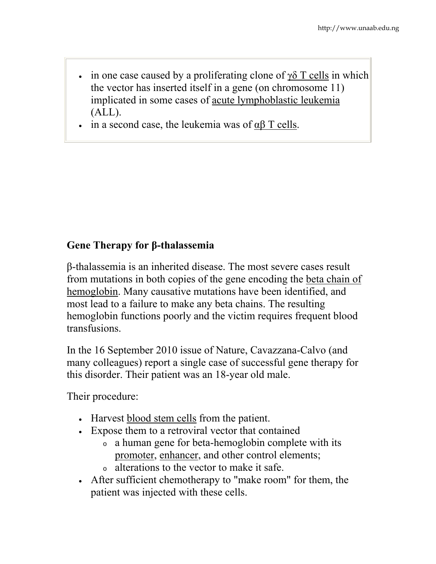- in one case caused by a proliferating clone of  $\gamma\delta$  T cells in which the vector has inserted itself in a gene (on chromosome 11) implicated in some cases of acute lymphoblastic leukemia (ALL).
- in a second case, the leukemia was of  $αβ T$  cells.

#### **Gene Therapy for β-thalassemia**

β-thalassemia is an inherited disease. The most severe cases result from mutations in both copies of the gene encoding the beta chain of hemoglobin. Many causative mutations have been identified, and most lead to a failure to make any beta chains. The resulting hemoglobin functions poorly and the victim requires frequent blood transfusions.

In the 16 September 2010 issue of Nature, Cavazzana-Calvo (and many colleagues) report a single case of successful gene therapy for this disorder. Their patient was an 18-year old male.

Their procedure:

- Harvest blood stem cells from the patient.
- Expose them to a retroviral vector that contained
	- <sup>o</sup> a human gene for beta-hemoglobin complete with its promoter, enhancer, and other control elements;
	- <sup>o</sup> alterations to the vector to make it safe.
- After sufficient chemotherapy to "make room" for them, the patient was injected with these cells.